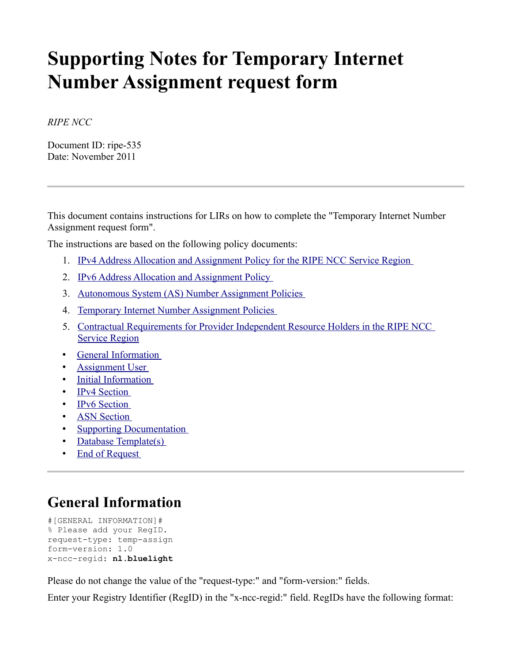# **Supporting Notes for Temporary Internet Number Assignment request form**

*RIPE NCC*

Document ID: ripe-535 Date: November 2011

This document contains instructions for LIRs on how to complete the "Temporary Internet Number Assignment request form".

The instructions are based on the following policy documents:

- 1. [IPv4 Address Allocation and Assignment Policy for the RIPE NCC Service Region](http://www.ripe.net/ripe/docs/ipv4-policies)
- 2. [IPv6 Address Allocation and Assignment Policy](http://www.ripe.net/ripe/docs/ipv6-policy)
- 3. [Autonomous System \(AS\) Number Assignment Policies](http://www.ripe.net/ripe/docs/asn-assignment)
- 4. [Temporary Internet Number Assignment Policies](http://www.ripe.net/ripe/docs/temporary-assignment)
- 5. [Contractual Requirements for Provider Independent Resource Holders in the RIPE NCC](http://www.ripe.net/ripe/docs/contract-req) [Service Region](http://www.ripe.net/ripe/docs/contract-req)
- • [General Information](#page-0-0)
- **Assignment User**
- • [Initial Information](#page-1-0)
- • [IPv4 Section](#page-2-0)
- • [IPv6 Section](#page-3-0)
- • [ASN Section](#page-4-0)
- • [Supporting Documentation](#page-5-0)
- • [Database Template\(s\)](#page-5-1)
- • [End of Request](#page-8-0)

# <span id="page-0-0"></span>**General Information**

```
#[GENERAL INFORMATION]#
% Please add your RegID.
request-type: temp-assign
form-version: 1.0
x-ncc-regid: nl.bluelight
```
Please do not change the value of the "request-type:" and "form-version:" fields.

Enter your Registry Identifier (RegID) in the "x-ncc-regid:" field. RegIDs have the following format: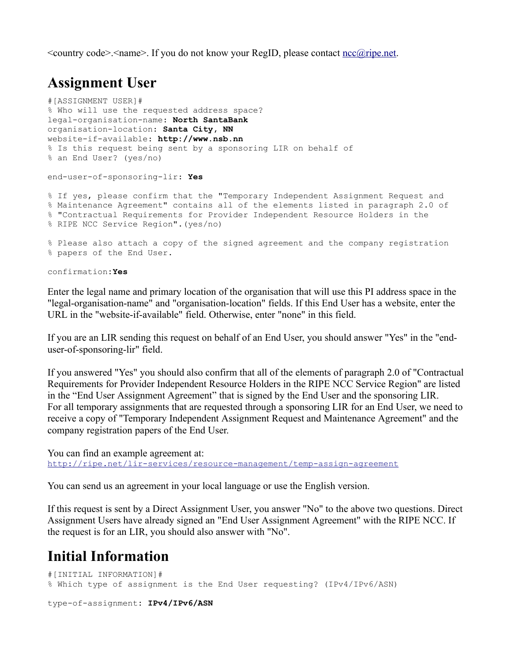<country code>.<name>. If you do not know your RegID, please contact [ncc@ripe.net.](mailto:ncc@ripe.net)

## <span id="page-1-1"></span>**Assignment User**

```
#[ASSIGNMENT USER]#
% Who will use the requested address space?
legal-organisation-name: North SantaBank
organisation-location: Santa City, NN
website-if-available: http://www.nsb.nn
% Is this request being sent by a sponsoring LIR on behalf of 
% an End User? (yes/no)
end-user-of-sponsoring-lir: Yes
% If yes, please confirm that the "Temporary Independent Assignment Request and
% Maintenance Agreement" contains all of the elements listed in paragraph 2.0 of
% "Contractual Requirements for Provider Independent Resource Holders in the 
% RIPE NCC Service Region".(yes/no) 
% Please also attach a copy of the signed agreement and the company registration
```
% papers of the End User.

confirmation**:Yes**

Enter the legal name and primary location of the organisation that will use this PI address space in the "legal-organisation-name" and "organisation-location" fields. If this End User has a website, enter the URL in the "website-if-available" field. Otherwise, enter "none" in this field.

If you are an LIR sending this request on behalf of an End User, you should answer "Yes" in the "enduser-of-sponsoring-lir" field.

If you answered "Yes" you should also confirm that all of the elements of paragraph 2.0 of "Contractual Requirements for Provider Independent Resource Holders in the RIPE NCC Service Region" are listed in the "End User Assignment Agreement" that is signed by the End User and the sponsoring LIR. For all temporary assignments that are requested through a sponsoring LIR for an End User, we need to receive a copy of "Temporary Independent Assignment Request and Maintenance Agreement" and the company registration papers of the End User.

You can find an example agreement at: <http://ripe.net/lir-services/resource-management/temp-assign-agreement>

You can send us an agreement in your local language or use the English version.

If this request is sent by a Direct Assignment User, you answer "No" to the above two questions. Direct Assignment Users have already signed an "End User Assignment Agreement" with the RIPE NCC. If the request is for an LIR, you should also answer with "No".

# <span id="page-1-0"></span>**Initial Information**

```
#[INITIAL INFORMATION]#
% Which type of assignment is the End User requesting? (IPv4/IPv6/ASN)
type-of-assignment: IPv4/IPv6/ASN
```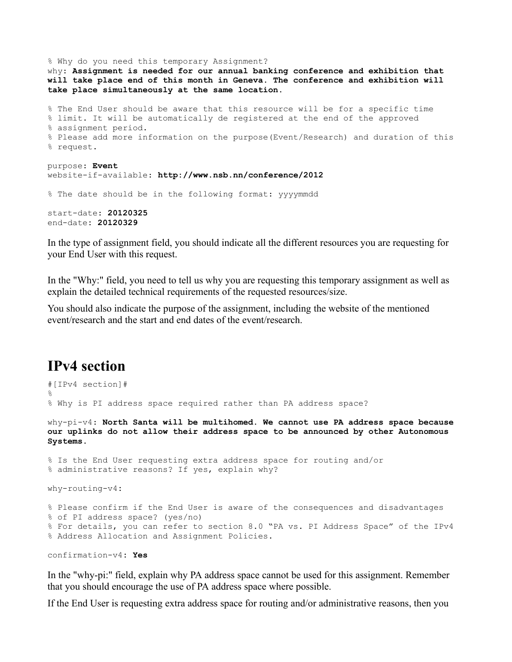% Why do you need this temporary Assignment? why: **Assignment is needed for our annual banking conference and exhibition that will take place end of this month in Geneva. The conference and exhibition will take place simultaneously at the same location.** % The End User should be aware that this resource will be for a specific time % limit. It will be automatically de registered at the end of the approved % assignment period. % Please add more information on the purpose(Event/Research) and duration of this % request. purpose: **Event** website-if-available: **http://www.nsb.nn/conference/2012** % The date should be in the following format: yyyymmdd start-date: **20120325** end-date**: 20120329**

In the type of assignment field, you should indicate all the different resources you are requesting for your End User with this request.

In the "Why:" field, you need to tell us why you are requesting this temporary assignment as well as explain the detailed technical requirements of the requested resources/size.

You should also indicate the purpose of the assignment, including the website of the mentioned event/research and the start and end dates of the event/research.

#### <span id="page-2-0"></span>**IPv4 section**

```
#[IPv4 section]#
%
% Why is PI address space required rather than PA address space? 
why-pi-v4: North Santa will be multihomed. We cannot use PA address space because
our uplinks do not allow their address space to be announced by other Autonomous
Systems.
% Is the End User requesting extra address space for routing and/or 
% administrative reasons? If yes, explain why?
why-routing-v4:
% Please confirm if the End User is aware of the consequences and disadvantages 
% of PI address space? (yes/no)
% For details, you can refer to section 8.0 "PA vs. PI Address Space" of the IPv4
% Address Allocation and Assignment Policies.
```

```
confirmation-v4: Yes
```
In the "why-pi:" field, explain why PA address space cannot be used for this assignment. Remember that you should encourage the use of PA address space where possible.

If the End User is requesting extra address space for routing and/or administrative reasons, then you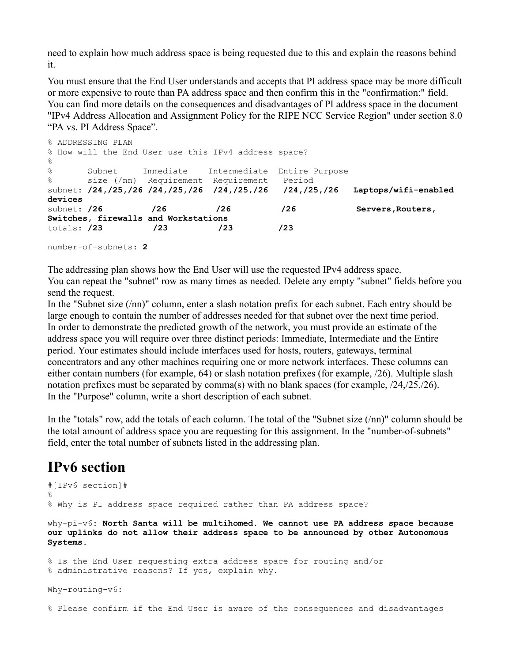need to explain how much address space is being requested due to this and explain the reasons behind it.

You must ensure that the End User understands and accepts that PI address space may be more difficult or more expensive to route than PA address space and then confirm this in the "confirmation:" field. You can find more details on the consequences and disadvantages of PI address space in the document "IPv4 Address Allocation and Assignment Policy for the RIPE NCC Service Region" under section 8.0 "PA vs. PI Address Space".

```
% ADDRESSING PLAN
% How will the End User use this IPv4 address space?
\approx% Subnet Immediate Intermediate Entire Purpose
% size (/nn) Requirement Requirement Period
subnet: /24,/25,/26 /24,/25,/26 /24,/25,/26 /24,/25,/26 Laptops/wifi-enabled
devices
subnet: /26 /26 /26 /26 /26 Servers, Routers,
Switches, firewalls and Workstations
totals: /23 /23 /23 /23 
number-of-subnets: 2
```
The addressing plan shows how the End User will use the requested IPv4 address space. You can repeat the "subnet" row as many times as needed. Delete any empty "subnet" fields before you send the request.

In the "Subnet size (/nn)" column, enter a slash notation prefix for each subnet. Each entry should be large enough to contain the number of addresses needed for that subnet over the next time period. In order to demonstrate the predicted growth of the network, you must provide an estimate of the address space you will require over three distinct periods: Immediate, Intermediate and the Entire period. Your estimates should include interfaces used for hosts, routers, gateways, terminal concentrators and any other machines requiring one or more network interfaces. These columns can either contain numbers (for example, 64) or slash notation prefixes (for example, /26). Multiple slash notation prefixes must be separated by comma(s) with no blank spaces (for example, /24,/25,/26). In the "Purpose" column, write a short description of each subnet.

In the "totals" row, add the totals of each column. The total of the "Subnet size (/nn)" column should be the total amount of address space you are requesting for this assignment. In the "number-of-subnets" field, enter the total number of subnets listed in the addressing plan.

# <span id="page-3-0"></span>**IPv6 section**

```
#[IPv6 section]#
%
% Why is PI address space required rather than PA address space? 
why-pi-v6: North Santa will be multihomed. We cannot use PA address space because
our uplinks do not allow their address space to be announced by other Autonomous
Systems.
% Is the End User requesting extra address space for routing and/or 
% administrative reasons? If yes, explain why.
Why-routing-v6:
```
% Please confirm if the End User is aware of the consequences and disadvantages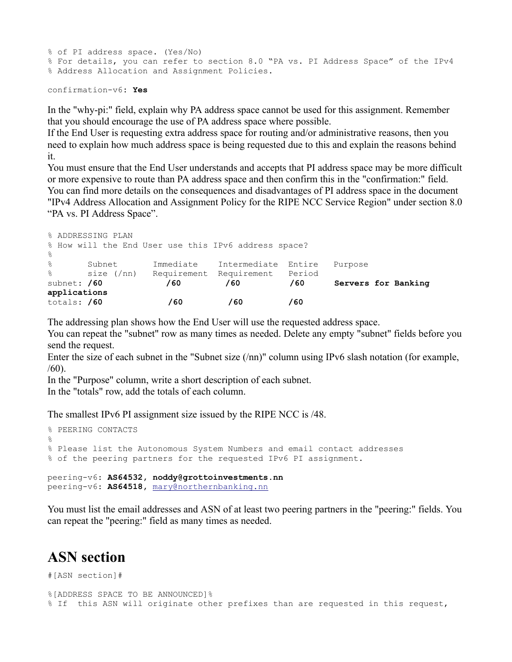```
% of PI address space. (Yes/No)
% For details, you can refer to section 8.0 "PA vs. PI Address Space" of the IPv4
% Address Allocation and Assignment Policies.
```

```
confirmation-v6: Yes
```
In the "why-pi:" field, explain why PA address space cannot be used for this assignment. Remember that you should encourage the use of PA address space where possible.

If the End User is requesting extra address space for routing and/or administrative reasons, then you need to explain how much address space is being requested due to this and explain the reasons behind it.

You must ensure that the End User understands and accepts that PI address space may be more difficult or more expensive to route than PA address space and then confirm this in the "confirmation:" field. You can find more details on the consequences and disadvantages of PI address space in the document "IPv4 Address Allocation and Assignment Policy for the RIPE NCC Service Region" under section 8.0 "PA vs. PI Address Space".

| % ADDRESSING PLAN |        |  |  |  |  |     |  |                               |                                                      |  |         |  |                     |
|-------------------|--------|--|--|--|--|-----|--|-------------------------------|------------------------------------------------------|--|---------|--|---------------------|
|                   |        |  |  |  |  |     |  |                               | % How will the End User use this IPv6 address space? |  |         |  |                     |
| $\frac{6}{5}$     |        |  |  |  |  |     |  |                               |                                                      |  |         |  |                     |
| $\frac{8}{6}$     | Subnet |  |  |  |  |     |  | Immediate Intermediate Entire |                                                      |  | Purpose |  |                     |
|                   |        |  |  |  |  |     |  |                               | % size (/nn) Requirement Requirement Period          |  |         |  |                     |
| subnet: /60       |        |  |  |  |  | /60 |  | /60                           |                                                      |  | /60     |  | Servers for Banking |
| applications      |        |  |  |  |  |     |  |                               |                                                      |  |         |  |                     |
| totals: /60       |        |  |  |  |  | /60 |  |                               | /60                                                  |  | /60     |  |                     |

The addressing plan shows how the End User will use the requested address space.

You can repeat the "subnet" row as many times as needed. Delete any empty "subnet" fields before you send the request.

Enter the size of each subnet in the "Subnet size (/nn)" column using IPv6 slash notation (for example, /60).

In the "Purpose" column, write a short description of each subnet.

In the "totals" row, add the totals of each column.

The smallest IPv6 PI assignment size issued by the RIPE NCC is /48.

```
% PEERING CONTACTS
%
% Please list the Autonomous System Numbers and email contact addresses 
% of the peering partners for the requested IPv6 PI assignment.
peering-v6: AS64532, noddy@grottoinvestments.nn
peering-v6: AS64518, mary@northernbanking.nn
```
You must list the email addresses and ASN of at least two peering partners in the "peering:" fields. You can repeat the "peering:" field as many times as needed.

# <span id="page-4-0"></span>**ASN section**

#[ASN section]#

```
%[ADDRESS SPACE TO BE ANNOUNCED]%
% If this ASN will originate other prefixes than are requested in this request,
```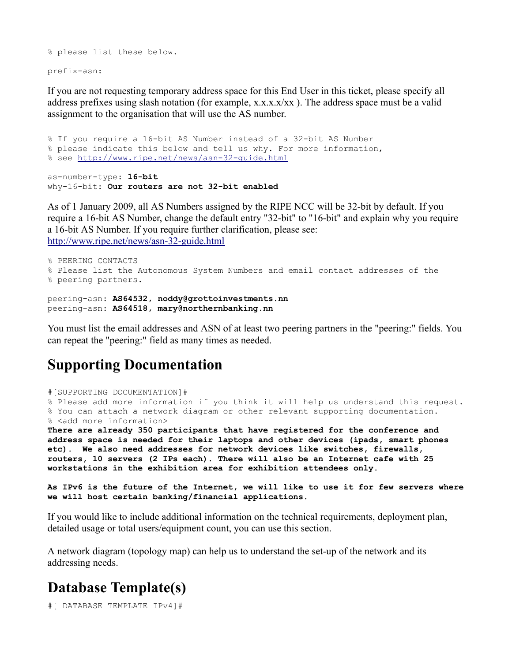```
% please list these below.
```
prefix-asn:

If you are not requesting temporary address space for this End User in this ticket, please specify all address prefixes using slash notation (for example, x.x.x.x/xx ). The address space must be a valid assignment to the organisation that will use the AS number.

% If you require a 16-bit AS Number instead of a 32-bit AS Number % please indicate this below and tell us why. For more information, % see http://www.ripe.net/news/asn-32-quide.html

as-number-type: **16-bit** why-16-bit: **Our routers are not 32-bit enabled**

As of 1 January 2009, all AS Numbers assigned by the RIPE NCC will be 32-bit by default. If you require a 16-bit AS Number, change the default entry "32-bit" to "16-bit" and explain why you require a 16-bit AS Number. If you require further clarification, please see: <http://www.ripe.net/news/asn-32-guide.html>

```
% PEERING CONTACTS
% Please list the Autonomous System Numbers and email contact addresses of the
% peering partners.
```
peering-asn: **AS64532, noddy@grottoinvestments.nn** peering-asn: **AS64518, mary@northernbanking.nn**

You must list the email addresses and ASN of at least two peering partners in the "peering:" fields. You can repeat the "peering:" field as many times as needed.

# <span id="page-5-0"></span>**Supporting Documentation**

```
#[SUPPORTING DOCUMENTATION]#
```
% Please add more information if you think it will help us understand this request. % You can attach a network diagram or other relevant supporting documentation. % <add more information> **There are already 350 participants that have registered for the conference and**

**address space is needed for their laptops and other devices (ipads, smart phones etc). We also need addresses for network devices like switches, firewalls, routers, 10 servers (2 IPs each). There will also be an Internet cafe with 25 workstations in the exhibition area for exhibition attendees only.** 

**As IPv6 is the future of the Internet, we will like to use it for few servers where we will host certain banking/financial applications.**

If you would like to include additional information on the technical requirements, deployment plan, detailed usage or total users/equipment count, you can use this section.

A network diagram (topology map) can help us to understand the set-up of the network and its addressing needs.

# <span id="page-5-1"></span>**Database Template(s)**

#[ DATABASE TEMPLATE IPv4]#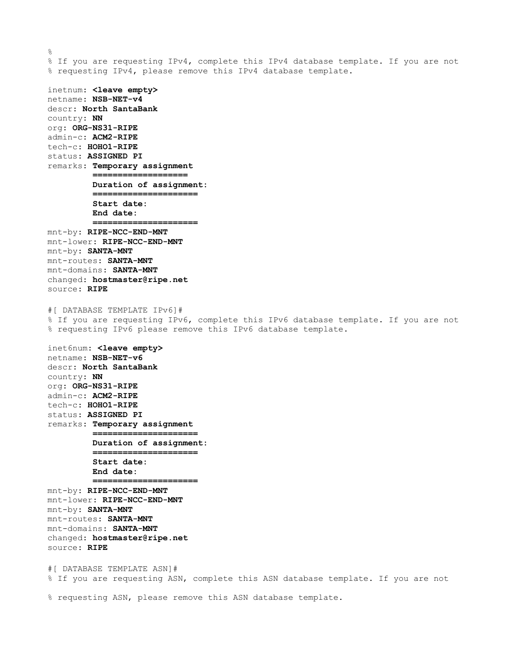$\approx$ % If you are requesting IPv4, complete this IPv4 database template. If you are not % requesting IPv4, please remove this IPv4 database template. inetnum: **<leave empty>** netname: **NSB-NET-v4** descr: **North SantaBank** country: **NN** org: **ORG-NS31-RIPE** admin-c: **ACM2-RIPE** tech-c: **HOHO1-RIPE** status: **ASSIGNED PI** remarks: **Temporary assignment =================== Duration of assignment: ===================== Start date: End date: =====================** mnt-by: **RIPE-NCC-END-MNT** mnt-lower: **RIPE-NCC-END-MNT** mnt-by: **SANTA-MNT** mnt-routes: **SANTA-MNT** mnt-domains: **SANTA-MNT** changed: **hostmaster@ripe.net** source: **RIPE** #[ DATABASE TEMPLATE IPv6]# % If you are requesting IPv6, complete this IPv6 database template. If you are not % requesting IPv6 please remove this IPv6 database template. inet6num: **<leave empty>** netname: **NSB-NET-v6** descr: **North SantaBank** country: **NN** org: **ORG-NS31-RIPE** admin-c: **ACM2-RIPE** tech-c: **HOHO1-RIPE**

status: **ASSIGNED PI** remarks: **Temporary assignment ===================== Duration of assignment: ===================== Start date: End date: =====================**

mnt-by: **RIPE-NCC-END-MNT** mnt-lower: **RIPE-NCC-END-MNT** mnt-by: **SANTA-MNT** mnt-routes: **SANTA-MNT** mnt-domains: **SANTA-MNT** changed: **hostmaster@ripe.net** source: **RIPE**

#[ DATABASE TEMPLATE ASN]# % If you are requesting ASN, complete this ASN database template. If you are not

% requesting ASN, please remove this ASN database template.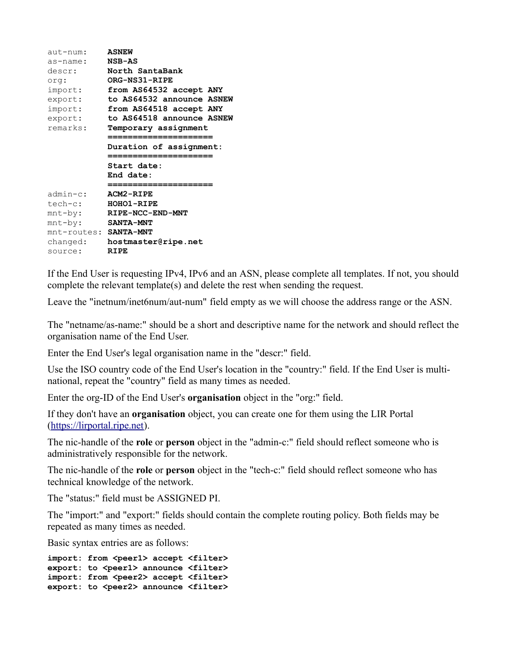| $aut-number:$<br>as-name:<br>descr:<br>crq:                                                   | <b>ASNEW</b><br><b>NSB-AS</b><br>North SantaBank<br><b>ORG-NS31-RIPE</b>                                                                                      |
|-----------------------------------------------------------------------------------------------|---------------------------------------------------------------------------------------------------------------------------------------------------------------|
| import:<br>export:<br>import:<br>export:<br>remarks:                                          | from AS64532 accept ANY<br>to AS64532 announce ASNEW<br>from AS64518 accept ANY<br>to AS64518 announce ASNEW<br>Temporary assignment<br>===================== |
|                                                                                               | Duration of assignment:<br>Start date:<br>End date:<br>============                                                                                           |
| admin-c:<br>tech-c:<br>$mnt-by:$<br>$mnt-by:$<br>mnt-routes: SANTA-MNT<br>changed:<br>source: | ACM2-RIPE<br><b>HOHO1-RIPE</b><br>RIPE-NCC-END-MNT<br><b>SANTA-MNT</b><br>hostmaster@ripe.net<br><b>RIPE</b>                                                  |

If the End User is requesting IPv4, IPv6 and an ASN, please complete all templates. If not, you should complete the relevant template(s) and delete the rest when sending the request.

Leave the "inetnum/inet6num/aut-num" field empty as we will choose the address range or the ASN.

The "netname/as-name:" should be a short and descriptive name for the network and should reflect the organisation name of the End User.

Enter the End User's legal organisation name in the "descr:" field.

Use the ISO country code of the End User's location in the "country:" field. If the End User is multinational, repeat the "country" field as many times as needed.

Enter the org-ID of the End User's **organisation** object in the "org:" field.

If they don't have an **organisation** object, you can create one for them using the LIR Portal [\(https://lirportal.ripe.net\)](https://lirportal.ripe.net/).

The nic-handle of the **role** or **person** object in the "admin-c:" field should reflect someone who is administratively responsible for the network.

The nic-handle of the **role** or **person** object in the "tech-c:" field should reflect someone who has technical knowledge of the network.

The "status:" field must be ASSIGNED PI.

The "import:" and "export:" fields should contain the complete routing policy. Both fields may be repeated as many times as needed.

Basic syntax entries are as follows:

```
import: from <peer1> accept <filter>
export: to <peer1> announce <filter>
import: from <peer2> accept <filter>
export: to <peer2> announce <filter>
```